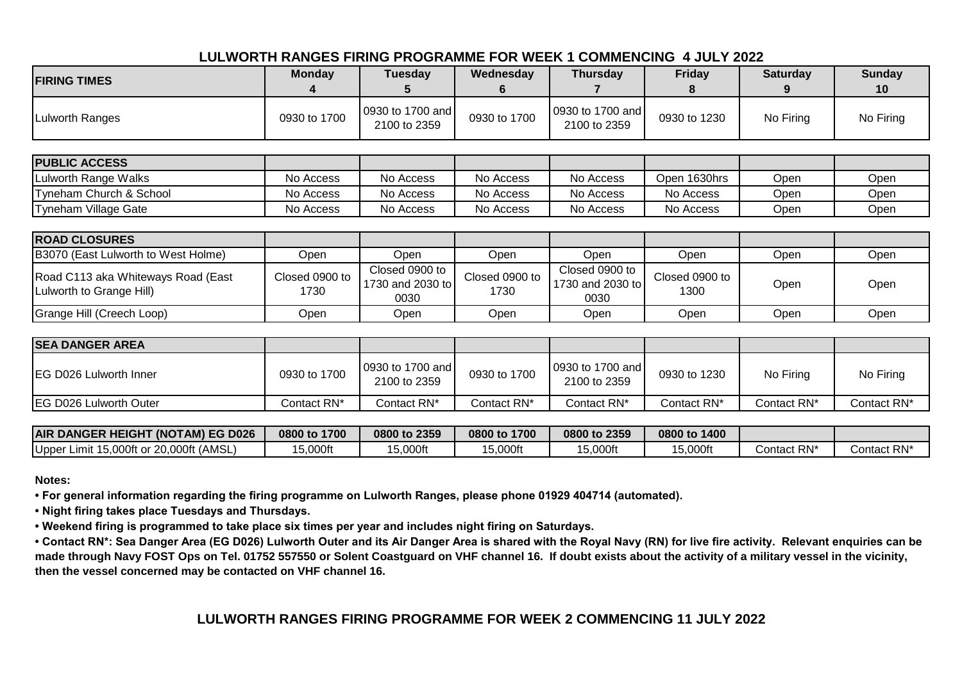## **LULWORTH RANGES FIRING PROGRAMME FOR WEEK 1 COMMENCING 4 JULY 2022**

| <b>FIRING TIMES</b>                                            | <b>Monday</b>          | <b>Tuesday</b><br>C                        | Wednesday<br>6         | <b>Thursday</b>                            | Friday<br>8            | <b>Saturday</b> | <b>Sunday</b><br>10 |
|----------------------------------------------------------------|------------------------|--------------------------------------------|------------------------|--------------------------------------------|------------------------|-----------------|---------------------|
| Lulworth Ranges                                                | 0930 to 1700           | 0930 to 1700 and<br>2100 to 2359           | 0930 to 1700           | 0930 to 1700 and<br>2100 to 2359           | 0930 to 1230           | No Firing       | No Firing           |
| <b>PUBLIC ACCESS</b>                                           |                        |                                            |                        |                                            |                        |                 |                     |
| Lulworth Range Walks                                           | No Access              | No Access                                  | No Access              | No Access                                  | Open 1630hrs           | Open            | Open                |
| Tyneham Church & School                                        | No Access              | No Access                                  | No Access              | No Access                                  | No Access              | Open            | Open                |
| Tyneham Village Gate                                           | No Access              | No Access                                  | No Access              | No Access                                  | No Access              | Open            | Open                |
|                                                                |                        |                                            |                        |                                            |                        |                 |                     |
| <b>ROAD CLOSURES</b>                                           |                        |                                            |                        |                                            |                        |                 |                     |
| B3070 (East Lulworth to West Holme)                            | Open                   | Open                                       | Open                   | Open                                       | Open                   | Open            | Open                |
| Road C113 aka Whiteways Road (East<br>Lulworth to Grange Hill) | Closed 0900 to<br>1730 | Closed 0900 to<br>1730 and 2030 to<br>0030 | Closed 0900 to<br>1730 | Closed 0900 to<br>1730 and 2030 to<br>0030 | Closed 0900 to<br>1300 | Open            | Open                |
| Grange Hill (Creech Loop)                                      | Open                   | Open                                       | Open                   | Open                                       | Open                   | Open            | Open                |
|                                                                |                        |                                            |                        |                                            |                        |                 |                     |
| <b>SEA DANGER AREA</b>                                         |                        |                                            |                        |                                            |                        |                 |                     |
| IEG D026 Lulworth Inner                                        | 0930 to 1700           | 0930 to 1700 and<br>2100 to 2359           | 0930 to 1700           | 0930 to 1700 and<br>2100 to 2359           | 0930 to 1230           | No Firing       | No Firing           |
| EG D026 Lulworth Outer                                         | Contact RN*            | Contact RN*                                | Contact RN*            | Contact RN*                                | Contact RN*            | Contact RN*     | Contact RN*         |
|                                                                |                        |                                            |                        |                                            |                        |                 |                     |

| <b>AIR DANGER HEIGHT</b><br>(NOTAM) EG D026           | 1700<br>0800 to | 0800 to 2359 | 0800 to 1700 | 0800 to 2359 | 0800 to 1400 |             |             |
|-------------------------------------------------------|-----------------|--------------|--------------|--------------|--------------|-------------|-------------|
| (AMSL<br>Upper<br>15,000ft or<br>120.000ft ∶<br>Limit | 15,000ft        | 5,000ft      | 15,000ft     | 5,000ft      | 15,000ft     | Contact RN* | Contact RN* |

**Notes:**

**• For general information regarding the firing programme on Lulworth Ranges, please phone 01929 404714 (automated).**

**• Night firing takes place Tuesdays and Thursdays.**

**• Weekend firing is programmed to take place six times per year and includes night firing on Saturdays.**

**• Contact RN\*: Sea Danger Area (EG D026) Lulworth Outer and its Air Danger Area is shared with the Royal Navy (RN) for live fire activity. Relevant enquiries can be made through Navy FOST Ops on Tel. 01752 557550 or Solent Coastguard on VHF channel 16. If doubt exists about the activity of a military vessel in the vicinity, then the vessel concerned may be contacted on VHF channel 16.**

## **LULWORTH RANGES FIRING PROGRAMME FOR WEEK 2 COMMENCING 11 JULY 2022**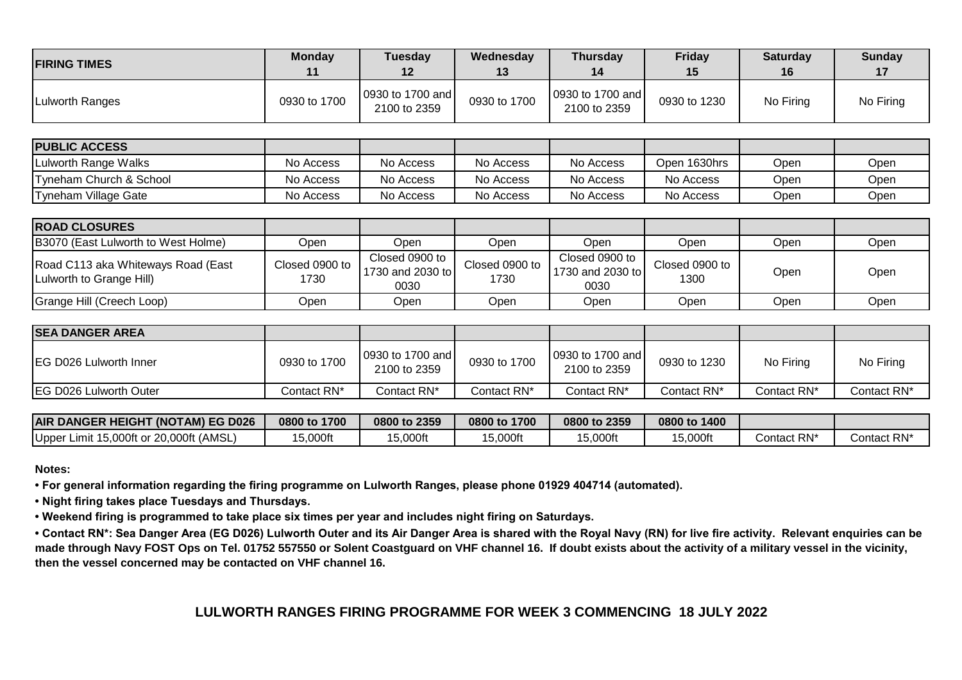| <b>FIRING TIMES</b> | <b>Monday</b><br>11 | Tuesday<br>12                    | Wednesday<br>13 | <b>Thursday</b><br>14            | <b>Friday</b><br>15 | <b>Saturday</b><br>16 | Sunday    |
|---------------------|---------------------|----------------------------------|-----------------|----------------------------------|---------------------|-----------------------|-----------|
| Lulworth Ranges     | 0930 to 1700        | 0930 to 1700 and<br>2100 to 2359 | 0930 to 1700    | 0930 to 1700 and<br>2100 to 2359 | 0930 to 1230        | No Firing             | No Firing |

| <b>PUBLIC ACCESS</b>               |           |           |           |           |              |      |      |
|------------------------------------|-----------|-----------|-----------|-----------|--------------|------|------|
| Lulworth Range Walks               | No Access | No Access | No Access | No Access | Open 1630hrs | Open | Open |
| <b>Tyneham Church &amp; School</b> | No Access | No Access | No Access | No Access | No Access    | Open | Open |
| <b>ITvneham Village Gate</b>       | No Access | No Access | No Access | No Access | No Access    | Open | Open |

| <b>ROAD CLOSURES</b>                                           |                        |                                            |                                |                                            |                        |      |      |
|----------------------------------------------------------------|------------------------|--------------------------------------------|--------------------------------|--------------------------------------------|------------------------|------|------|
| B3070 (East Lulworth to West Holme)                            | Jpen                   | Jpen                                       | Open                           | Open                                       | Open                   | Open | Open |
| Road C113 aka Whiteways Road (East<br>Luiworth to Grange Hill) | Closed 0900 to<br>1730 | Closed 0900 to<br>1730 and 2030 to<br>0030 | Closed 0900 to $\vert$<br>1730 | Closed 0900 to<br>1730 and 2030 to<br>0030 | Closed 0900 to<br>1300 | Open | Open |
| Grange Hill (Creech Loop)                                      | :Dpen                  | Open                                       | Open                           | Open                                       | Open                   | Open | Open |

| <b>SEA DANGER AREA</b>         |              |                                  |              |                                  |              |             |             |
|--------------------------------|--------------|----------------------------------|--------------|----------------------------------|--------------|-------------|-------------|
| <b>IEG D026 Lulworth Inner</b> | 0930 to 1700 | 0930 to 1700 and<br>2100 to 2359 | 0930 to 1700 | 0930 to 1700 and<br>2100 to 2359 | 0930 to 1230 | No Firing   | No Firing   |
| <b>IEG D026 Lulworth Outer</b> | Contact RN*  | Contact RN*                      | Contact RN*  | Contact RN*                      | Contact RN*  | Contact RN* | Contact RN* |

| <b>AIR DANGER HEIGHT (NOTAM) EG D026</b>   | 1700<br>0800 to | 0800 to 2359 | 0800 to 1700 | 0800 to 2359 | 0800 to 1400 |             |                         |
|--------------------------------------------|-----------------|--------------|--------------|--------------|--------------|-------------|-------------------------|
| Limit 15,000ft or 20,000ft (AMSL)<br>Upper | $5,000$ ft      | 5,000ft      | 15,000ft     | 5,000ft      | 5,000ft      | Contact RN* | Contact RN <sup>,</sup> |

**Notes:**

**• For general information regarding the firing programme on Lulworth Ranges, please phone 01929 404714 (automated).**

**• Night firing takes place Tuesdays and Thursdays.**

**• Weekend firing is programmed to take place six times per year and includes night firing on Saturdays.**

**• Contact RN\*: Sea Danger Area (EG D026) Lulworth Outer and its Air Danger Area is shared with the Royal Navy (RN) for live fire activity. Relevant enquiries can be made through Navy FOST Ops on Tel. 01752 557550 or Solent Coastguard on VHF channel 16. If doubt exists about the activity of a military vessel in the vicinity, then the vessel concerned may be contacted on VHF channel 16.**

# **LULWORTH RANGES FIRING PROGRAMME FOR WEEK 3 COMMENCING 18 JULY 2022**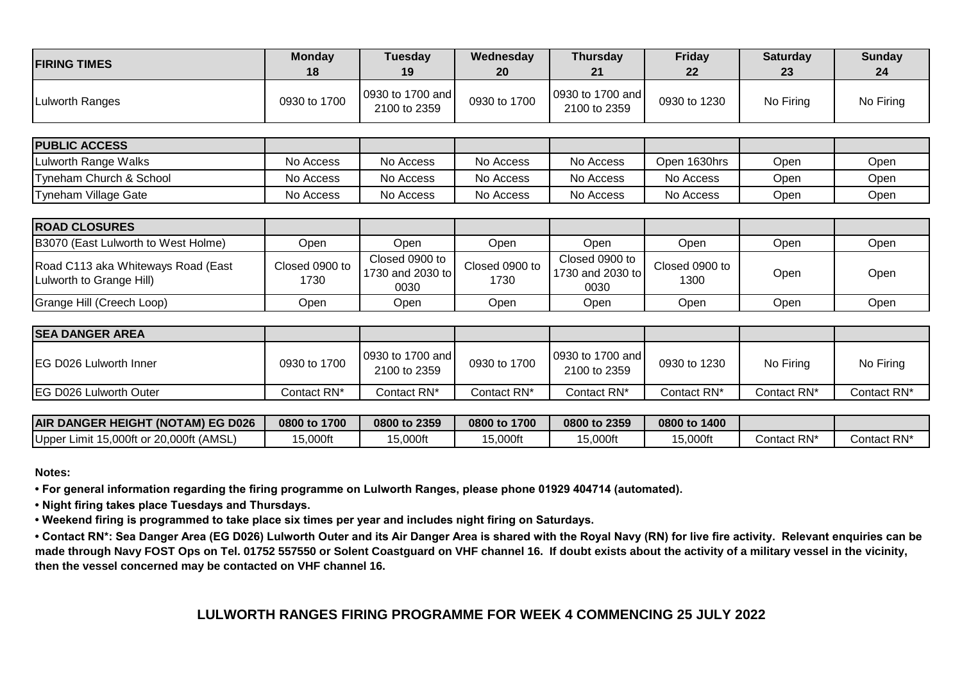| <b>FIRING TIMES</b>    | <b>Monday</b><br>18 | <b>Tuesday</b><br>19             | Wednesday<br><b>20</b> | <b>Thursday</b><br>21            | Friday<br>22 | <b>Saturday</b><br>23 | <b>Sunday</b><br>24 |
|------------------------|---------------------|----------------------------------|------------------------|----------------------------------|--------------|-----------------------|---------------------|
| <b>Lulworth Ranges</b> | 0930 to 1700        | 0930 to 1700 and<br>2100 to 2359 | 0930 to 1700           | 0930 to 1700 and<br>2100 to 2359 | 0930 to 1230 | No Firing             | No Firing           |
| <b>PUBLIC ACCESS</b>   |                     |                                  |                        |                                  |              |                       |                     |
| Lulworth Range Walks   | No Access           | No Access                        | No Access              | No Access                        | Open 1630hrs | Open                  | Open                |

Tyneham Church & School **No Access No Access No Access No Access No Access No Access No Access No Access No Access** Tyneham Village Gate **Note Access** No Access No Access No Access No Access No Access No Access Open Open

| <b>ROAD CLOSURES</b>                                           |                        |                                            |                        |                                            |                        |      |      |
|----------------------------------------------------------------|------------------------|--------------------------------------------|------------------------|--------------------------------------------|------------------------|------|------|
| B3070 (East Lulworth to West Holme)                            | Open                   | Open                                       | Open                   | Open                                       | Open                   | Open | Open |
| Road C113 aka Whiteways Road (East<br>Luiworth to Grange Hill) | Closed 0900 to<br>1730 | Closed 0900 to<br>1730 and 2030 to<br>0030 | Closed 0900 to<br>1730 | Closed 0900 to<br>1730 and 2030 to<br>0030 | Closed 0900 to<br>1300 | Open | Open |
| Grange Hill (Creech Loop)                                      | <b>Open</b>            | Open                                       | Open                   | Open                                       | Open                   | Open | Open |

| <b>SEA DANGER AREA</b>         |              |                                  |              |                                  |              |             |             |
|--------------------------------|--------------|----------------------------------|--------------|----------------------------------|--------------|-------------|-------------|
| <b>IEG D026 Lulworth Inner</b> | 0930 to 1700 | 0930 to 1700 and<br>2100 to 2359 | 0930 to 1700 | 0930 to 1700 and<br>2100 to 2359 | 0930 to 1230 | No Firing   | No Firing   |
| <b>IEG D026 Lulworth Outer</b> | Contact RN*  | Contact RN*                      | Contact RN*  | Contact RN*                      | Contact RN*  | Contact RN* | Contact RN* |

| <b>AIR DANGER HEIGHT</b><br>(NOTAM) EG D026             | 0800 to<br>1700 | 0800 to 2359 | 0800 to 1700 | 0800 to 2359 | 0800 to 1400 |             |             |
|---------------------------------------------------------|-----------------|--------------|--------------|--------------|--------------|-------------|-------------|
| (AMSL<br>Upper<br>0.000ft<br>15.000ft or<br>Limit<br>ΖU | 15,000ft        | 5,000ft      | 15.000ft     | 5,000ft      | 5,000ft      | Contact RN* | Contact RN' |

### **Notes:**

**• For general information regarding the firing programme on Lulworth Ranges, please phone 01929 404714 (automated).**

**• Night firing takes place Tuesdays and Thursdays.**

**• Weekend firing is programmed to take place six times per year and includes night firing on Saturdays.**

**• Contact RN\*: Sea Danger Area (EG D026) Lulworth Outer and its Air Danger Area is shared with the Royal Navy (RN) for live fire activity. Relevant enquiries can be made through Navy FOST Ops on Tel. 01752 557550 or Solent Coastguard on VHF channel 16. If doubt exists about the activity of a military vessel in the vicinity, then the vessel concerned may be contacted on VHF channel 16.**

### **LULWORTH RANGES FIRING PROGRAMME FOR WEEK 4 COMMENCING 25 JULY 2022**